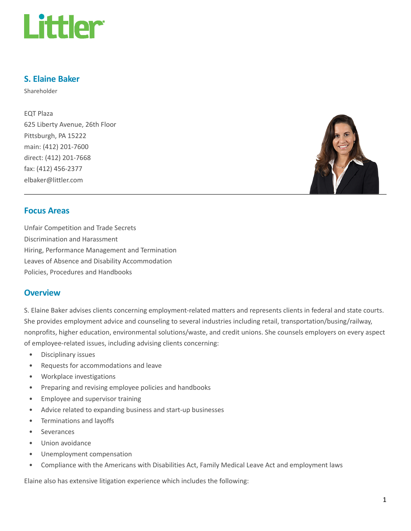

#### S. Elaine Baker

Shareholder

EQT Plaza 625 Liberty Avenue, 26th Floor Pittsburgh, PA 15222 main: (412) 201-7600 direct: (412) 201-7668 fax: (412) 456-2377 elbaker@littler.com



#### Focus Areas

Unfair Competition and Trade Secrets Discrimination and Harassment Hiring, Performance Management and Termination Leaves of Absence and Disability Accommodation Policies, Procedures and Handbooks

#### **Overview**

S. Elaine Baker advises clients concerning employment-related matters and represents clients in federal and state courts. She provides employment advice and counseling to several industries including retail, transportation/busing/railway, nonprofits, higher education, environmental solutions/waste, and credit unions. She counsels employers on every aspect of employee-related issues, including advising clients concerning:

- Disciplinary issues
- Requests for accommodations and leave
- Workplace investigations
- Preparing and revising employee policies and handbooks
- Employee and supervisor training
- Advice related to expanding business and start-up businesses
- Terminations and layoffs
- **Severances**
- Union avoidance
- Unemployment compensation
- Compliance with the Americans with Disabilities Act, Family Medical Leave Act and employment laws

Elaine also has extensive litigation experience which includes the following: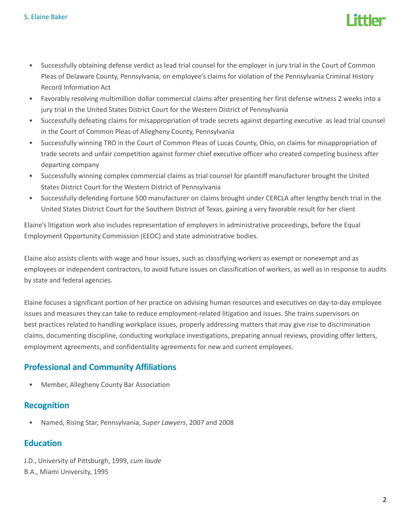

- Successfully obtaining defense verdict as lead trial counsel for the employer in jury trial in the Court of Common Pleas of Delaware County, Pennsylvania, on employee's claims for violation of the Pennsylvania Criminal History Record Information Act
- Favorably resolving multimillion dollar commercial claims after presenting her first defense witness 2 weeks into a jury trial in the United States District Court for the Western District of Pennsylvania
- Successfully defeating claims for misappropriation of trade secrets against departing executive as lead trial counsel in the Court of Common Pleas of Allegheny County, Pennsylvania
- Successfully winning TRO in the Court of Common Pleas of Lucas County, Ohio, on claims for misappropriation of trade secrets and unfair competition against former chief executive officer who created competing business after departing company
- Successfully winning complex commercial claims as trial counsel for plaintiff manufacturer brought the United States District Court for the Western District of Pennsylvania
- Successfully defending Fortune 500 manufacturer on claims brought under CERCLA after lengthy bench trial in the United States District Court for the Southern District of Texas, gaining a very favorable result for her client

Elaine's litigation work also includes representation of employers in administrative proceedings, before the Equal Employment Opportunity Commission (EEOC) and state administrative bodies.

Elaine also assists clients with wage and hour issues, such as classifying workers as exempt or nonexempt and as employees or independent contractors, to avoid future issues on classification of workers, as well as in response to audits by state and federal agencies.

Elaine focuses a significant portion of her practice on advising human resources and executives on day-to-day employee issues and measures they can take to reduce employment-related litigation and issues. She trains supervisors on best practices related to handling workplace issues, properly addressing matters that may give rise to discrimination claims, documenting discipline, conducting workplace investigations, preparing annual reviews, providing offer letters, employment agreements, and confidentiality agreements for new and current employees.

# Professional and Community Affiliations

• Member, Allegheny County Bar Association

# Recognition

• Named, Rising Star, Pennsylvania, Super Lawyers, 2007 and 2008

# Education

J.D., University of Pittsburgh, 1999, cum laude B.A., Miami University, 1995